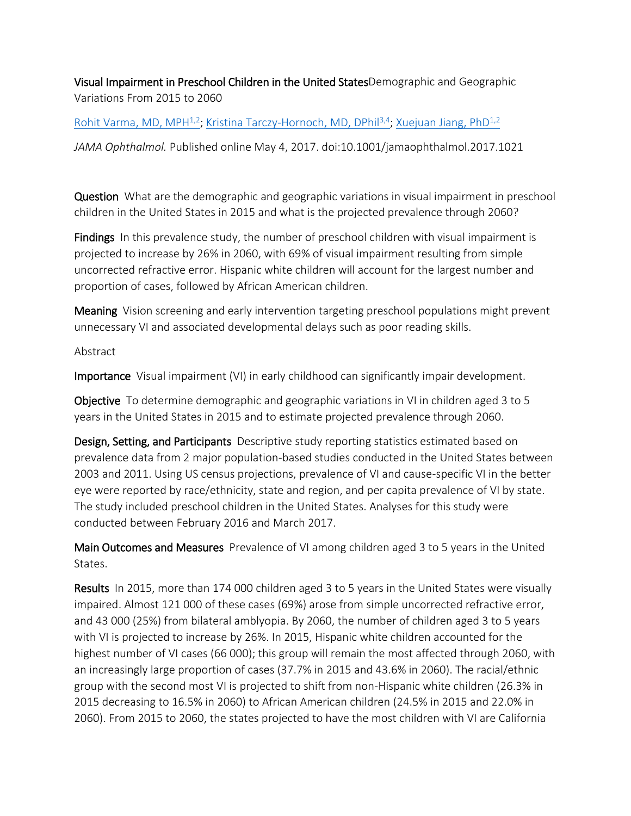## Visual Impairment in Preschool Children in the United StatesDemographic and Geographic Variations From 2015 to 2060

## Rohit Varma, [MD, MPH](http://jamanetwork.com/searchresults?author=Rohit+Varma&q=Rohit+Varma) $^{1,2}$ ; Kristina [Tarczy-Hornoch,](http://jamanetwork.com/searchresults?author=Kristina+Tarczy-Hornoch&q=Kristina+Tarczy-Hornoch) MD, DPhil<sup>3,4</sup>; [Xuejuan](http://jamanetwork.com/searchresults?author=Xuejuan+Jiang&q=Xuejuan+Jiang) Jiang, PhD $^{1,2}$

*JAMA Ophthalmol.* Published online May 4, 2017. doi:10.1001/jamaophthalmol.2017.1021

Question What are the demographic and geographic variations in visual impairment in preschool children in the United States in 2015 and what is the projected prevalence through 2060?

Findings In this prevalence study, the number of preschool children with visual impairment is projected to increase by 26% in 2060, with 69% of visual impairment resulting from simple uncorrected refractive error. Hispanic white children will account for the largest number and proportion of cases, followed by African American children.

Meaning Vision screening and early intervention targeting preschool populations might prevent unnecessary VI and associated developmental delays such as poor reading skills.

## Abstract

Importance Visual impairment (VI) in early childhood can significantly impair development.

Objective To determine demographic and geographic variations in VI in children aged 3 to 5 years in the United States in 2015 and to estimate projected prevalence through 2060.

Design, Setting, and Participants Descriptive study reporting statistics estimated based on prevalence data from 2 major population-based studies conducted in the United States between 2003 and 2011. Using US census projections, prevalence of VI and cause-specific VI in the better eye were reported by race/ethnicity, state and region, and per capita prevalence of VI by state. The study included preschool children in the United States. Analyses for this study were conducted between February 2016 and March 2017.

Main Outcomes and Measures Prevalence of VI among children aged 3 to 5 years in the United States.

Results In 2015, more than 174 000 children aged 3 to 5 years in the United States were visually impaired. Almost 121 000 of these cases (69%) arose from simple uncorrected refractive error, and 43 000 (25%) from bilateral amblyopia. By 2060, the number of children aged 3 to 5 years with VI is projected to increase by 26%. In 2015, Hispanic white children accounted for the highest number of VI cases (66 000); this group will remain the most affected through 2060, with an increasingly large proportion of cases (37.7% in 2015 and 43.6% in 2060). The racial/ethnic group with the second most VI is projected to shift from non-Hispanic white children (26.3% in 2015 decreasing to 16.5% in 2060) to African American children (24.5% in 2015 and 22.0% in 2060). From 2015 to 2060, the states projected to have the most children with VI are California